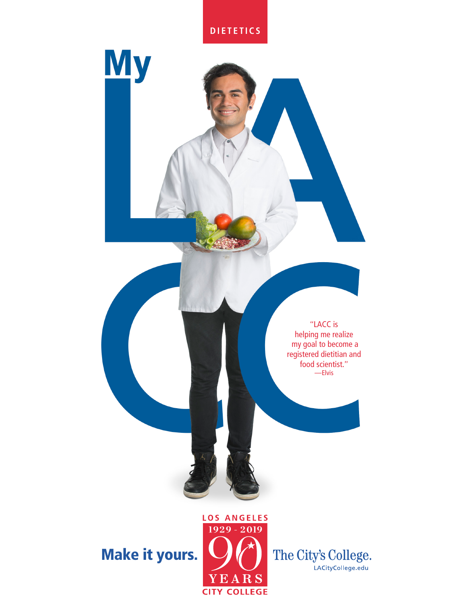



# Make it yours.